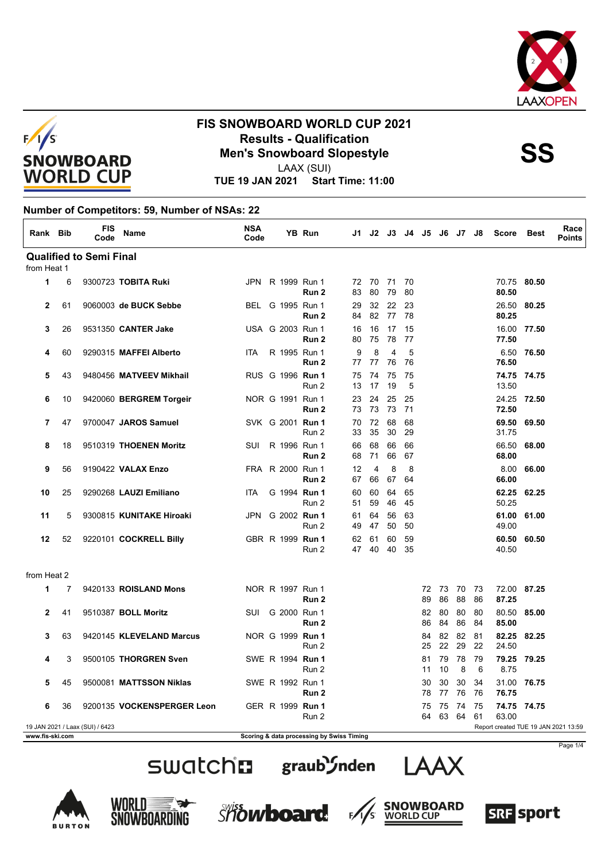



LAAX (SUI)

**TUE 19 JAN 2021 Start Time: 11:00**

#### **Number of Competitors: 59, Number of NSAs: 22**

| Rank Bib             |    | <b>FIS</b><br>Code              | Name                       | <b>NSA</b><br>Code |                  | YB Run                                    | J1.      | J2             | J3.                  |          | J4 J5 J6 |          | J7 J8    |          | <b>Score</b>                         | Best        | Race<br><b>Points</b> |
|----------------------|----|---------------------------------|----------------------------|--------------------|------------------|-------------------------------------------|----------|----------------|----------------------|----------|----------|----------|----------|----------|--------------------------------------|-------------|-----------------------|
|                      |    | <b>Qualified to Semi Final</b>  |                            |                    |                  |                                           |          |                |                      |          |          |          |          |          |                                      |             |                       |
| from Heat 1          |    |                                 |                            |                    |                  |                                           |          |                |                      |          |          |          |          |          |                                      |             |                       |
| $\mathbf{1}$         | 6  |                                 | 9300723 TOBITA Ruki        |                    | JPN R 1999 Run 1 | Run 2                                     | 83       | 72 70 71<br>80 | 79                   | 70<br>80 |          |          |          |          | 80.50                                | 70.75 80.50 |                       |
| $\mathbf{2}$         | 61 |                                 | 9060003 de BUCK Sebbe      |                    | BEL G 1995 Run 1 | Run 2                                     | 29<br>84 | 32<br>82       | 22<br>77             | 23<br>78 |          |          |          |          | 26.50<br>80.25                       | 80.25       |                       |
| 3                    | 26 |                                 | 9531350 CANTER Jake        |                    | USA G 2003 Run 1 | Run <sub>2</sub>                          | 16<br>80 | 16<br>75       | 17<br>78             | 15<br>77 |          |          |          |          | 77.50                                | 16.00 77.50 |                       |
| 4                    | 60 |                                 | 9290315 MAFFEI Alberto     | <b>ITA</b>         | R 1995 Run 1     | Run 2                                     | 9<br>77  | 8<br>77        | $\overline{4}$<br>76 | 5<br>76  |          |          |          |          | 6.50<br>76.50                        | 76.50       |                       |
| 5                    | 43 |                                 | 9480456 MATVEEV Mikhail    |                    | RUS G 1996 Run 1 | Run 2                                     | 75<br>13 | 74<br>17       | 75<br>19             | 75<br>5  |          |          |          |          | 13.50                                | 74.75 74.75 |                       |
| 6                    | 10 |                                 | 9420060 BERGREM Torgeir    |                    | NOR G 1991 Run 1 | Run <sub>2</sub>                          | 23<br>73 | 24<br>73       | 25<br>73             | 25<br>71 |          |          |          |          | 24.25<br>72.50                       | 72.50       |                       |
| $\overline{7}$       | 47 |                                 | 9700047 JAROS Samuel       |                    | SVK G 2001 Run 1 | Run 2                                     | 70<br>33 | 72<br>35       | 68<br>30             | 68<br>29 |          |          |          |          | 69.50<br>31.75                       | 69.50       |                       |
| 8                    | 18 |                                 | 9510319 THOENEN Moritz     | SUI                | R 1996 Run 1     | Run 2                                     | 66<br>68 | 68<br>71       | 66<br>66             | 66<br>67 |          |          |          |          | 66.50<br>68.00                       | 68.00       |                       |
| 9                    | 56 |                                 | 9190422 VALAX Enzo         |                    | FRA R 2000 Run 1 | Run 2                                     | 12<br>67 | 4<br>66        | 8<br>67              | 8<br>64  |          |          |          |          | 8.00<br>66.00                        | 66.00       |                       |
| 10                   | 25 |                                 | 9290268 LAUZI Emiliano     | <b>ITA</b>         | G 1994 Run 1     | Run 2                                     | 60<br>51 | 60<br>59       | 64<br>46             | 65<br>45 |          |          |          |          | 62.25<br>50.25                       | 62.25       |                       |
| 11                   | 5  |                                 | 9300815 KUNITAKE Hiroaki   |                    | JPN G 2002 Run 1 | Run 2                                     | 61<br>49 | 64<br>47       | 56<br>50             | 63<br>50 |          |          |          |          | 49.00                                | 61.00 61.00 |                       |
| 12                   | 52 |                                 | 9220101 COCKRELL Billy     |                    | GBR R 1999 Run 1 | Run 2                                     | 62<br>47 | 61<br>40       | 60<br>40             | 59<br>35 |          |          |          |          | 60.50<br>40.50                       | 60.50       |                       |
| from Heat 2          |    |                                 |                            |                    |                  |                                           |          |                |                      |          |          |          |          |          |                                      |             |                       |
| $\blacktriangleleft$ | 7  |                                 | 9420133 ROISLAND Mons      |                    | NOR R 1997 Run 1 | Run 2                                     |          |                |                      |          | 72<br>89 | 73<br>86 | 70<br>88 | 73<br>86 | 72.00<br>87.25                       | 87.25       |                       |
| $\mathbf{2}$         | 41 |                                 | 9510387 BOLL Moritz        |                    | SUI G 2000 Run 1 | Run 2                                     |          |                |                      |          | 82<br>86 | 80<br>84 | 80<br>86 | 80<br>84 | 80.50<br>85.00                       | 85.00       |                       |
| 3                    | 63 |                                 | 9420145 KLEVELAND Marcus   |                    | NOR G 1999 Run 1 | Run 2                                     |          |                |                      |          | 84<br>25 | 82<br>22 | 82<br>29 | 81<br>22 | 82.25<br>24.50                       | 82.25       |                       |
| 4                    | 3  |                                 | 9500105 THORGREN Sven      |                    | SWE R 1994 Run 1 | Run 2                                     |          |                |                      |          | 81<br>11 | 79<br>10 | 78<br>8  | 79<br>6  | 8.75                                 | 79.25 79.25 |                       |
| 5                    | 45 |                                 | 9500081 MATTSSON Niklas    |                    | SWE R 1992 Run 1 | Run 2                                     |          |                |                      |          | 30<br>78 | 30<br>77 | 30<br>76 | 34<br>76 | 31.00<br>76.75                       | 76.75       |                       |
| 6                    | 36 |                                 | 9200135 VOCKENSPERGER Leon |                    | GER R 1999 Run 1 | Run 2                                     |          |                |                      |          | 75<br>64 | 75<br>63 | 74<br>64 | 75<br>61 | 63.00                                | 74.75 74.75 |                       |
| www.fis-ski.com      |    | 19 JAN 2021 / Laax (SUI) / 6423 |                            |                    |                  | Scoring & data processing by Swiss Timing |          |                |                      |          |          |          |          |          | Report created TUE 19 JAN 2021 13:59 |             |                       |







**RURTON** 

*Showboard* 





Page 1/4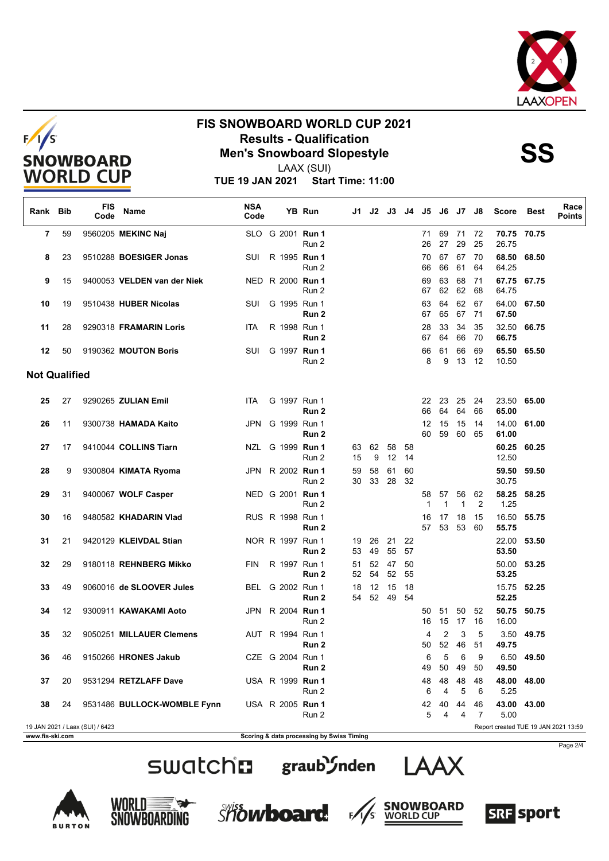





LAAX (SUI)

**TUE 19 JAN 2021 Start Time: 11:00**

| Rank Bib             |    | <b>FIS</b><br>Code              | Name                        | <b>NSA</b><br>Code |                  | YB Run | J1.                                       | J2       |             | J3 J4    | J5.               | J6                 | J7                 | J8       | <b>Score</b>   | Best       | Race<br><b>Points</b>                |
|----------------------|----|---------------------------------|-----------------------------|--------------------|------------------|--------|-------------------------------------------|----------|-------------|----------|-------------------|--------------------|--------------------|----------|----------------|------------|--------------------------------------|
| 7                    | 59 |                                 | 9560205 MEKINC Naj          |                    | SLO G 2001 Run 1 | Run 2  |                                           |          |             |          | 71<br>26          | 69<br>27           | 71 72<br>29        | 25       | 70.75<br>26.75 | 70.75      |                                      |
| 8                    | 23 |                                 | 9510288 BOESIGER Jonas      | SUI                | R 1995 Run 1     | Run 2  |                                           |          |             |          | 70<br>66          | 67<br>66           | 67<br>61           | 70<br>64 | 68.50<br>64.25 | 68.50      |                                      |
| 9                    | 15 |                                 | 9400053 VELDEN van der Niek |                    | NED R 2000 Run 1 | Run 2  |                                           |          |             |          | 69<br>67          | 63<br>62           | 68<br>62           | 71<br>68 | 67.75<br>64.75 | 67.75      |                                      |
| 10                   | 19 |                                 | 9510438 HUBER Nicolas       | SUI                | G 1995 Run 1     | Run 2  |                                           |          |             |          | 63<br>67          | 64<br>65           | 62<br>67           | 67<br>71 | 64.00<br>67.50 | 67.50      |                                      |
| 11                   | 28 |                                 | 9290318 FRAMARIN Loris      | ITA                | R 1998 Run 1     | Run 2  |                                           |          |             |          | 28<br>67          | 33<br>64           | 34<br>66           | 35<br>70 | 32.50<br>66.75 | 66.75      |                                      |
| 12                   | 50 |                                 | 9190362 MOUTON Boris        | SUI                | G 1997 Run 1     | Run 2  |                                           |          |             |          | 66<br>8           | 61<br>9            | 66<br>13           | 69<br>12 | 65.50<br>10.50 | 65.50      |                                      |
| <b>Not Qualified</b> |    |                                 |                             |                    |                  |        |                                           |          |             |          |                   |                    |                    |          |                |            |                                      |
| 25                   | 27 |                                 | 9290265 ZULIAN Emil         | <b>ITA</b>         | G 1997 Run 1     | Run 2  |                                           |          |             |          | 22<br>66          | 23<br>64           | 25<br>64           | 24<br>66 | 23.50<br>65.00 | 65.00      |                                      |
| 26                   | 11 |                                 | 9300738 HAMADA Kaito        |                    | JPN G 1999 Run 1 | Run 2  |                                           |          |             |          | 12<br>60          | 15<br>59           | 15<br>60           | 14<br>65 | 14.00<br>61.00 | 61.00      |                                      |
| 27                   | 17 |                                 | 9410044 COLLINS Tiarn       | NZL                | G 1999 Run 1     | Run 2  | 63<br>15                                  | 62<br>9  | 58<br>12    | 58<br>14 |                   |                    |                    |          | 60.25<br>12.50 | 60.25      |                                      |
| 28                   | 9  |                                 | 9300804 KIMATA Ryoma        | JPN                | R 2002 Run 1     | Run 2  | 59<br>30                                  | 58<br>33 | 61<br>28    | 60<br>32 |                   |                    |                    |          | 59.50<br>30.75 | 59.50      |                                      |
| 29                   | 31 |                                 | 9400067 WOLF Casper         |                    | NED G 2001 Run 1 | Run 2  |                                           |          |             |          | 58<br>$\mathbf 1$ | 57<br>$\mathbf{1}$ | 56<br>$\mathbf{1}$ | 62<br>2  | 58.25<br>1.25  | 58.25      |                                      |
| 30                   | 16 |                                 | 9480582 KHADARIN Vlad       |                    | RUS R 1998 Run 1 | Run 2  |                                           |          |             |          | 16<br>57          | 17<br>53           | 18<br>53           | 15<br>60 | 16.50<br>55.75 | 55.75      |                                      |
| 31                   | 21 |                                 | 9420129 KLEIVDAL Stian      |                    | NOR R 1997 Run 1 | Run 2  | 19<br>53                                  | 26<br>49 | 21<br>55    | 22<br>57 |                   |                    |                    |          | 22.00<br>53.50 | 53.50      |                                      |
| 32                   | 29 |                                 | 9180118 REHNBERG Mikko      | <b>FIN</b>         | R 1997 Run 1     | Run 2  | 51<br>52                                  | 52<br>54 | 47<br>52    | 50<br>55 |                   |                    |                    |          | 50.00<br>53.25 | 53.25      |                                      |
| 33                   | 49 |                                 | 9060016 de SLOOVER Jules    |                    | BEL G 2002 Run 1 | Run 2  | 18<br>54                                  | 12       | 15<br>52 49 | 18<br>54 |                   |                    |                    |          | 15.75<br>52.25 | 52.25      |                                      |
| 34                   | 12 |                                 | 9300911 KAWAKAMI Aoto       | JPN                | R 2004 Run 1     | Run 2  |                                           |          |             |          | 50<br>16          | 51<br>15           | 50<br>17           | 52<br>16 | 50.75<br>16.00 | 50.75      |                                      |
| 35                   | 32 |                                 | 9050251 MILLAUER Clemens    |                    | AUT R 1994 Run 1 | Run 2  |                                           |          |             |          | 4<br>50           | 2<br>52            | 3<br>46            | 5<br>51  | 3.50<br>49.75  | 49.75      |                                      |
| 36                   | 46 |                                 | 9150266 HRONES Jakub        |                    | CZE G 2004 Run 1 | Run 2  |                                           |          |             |          | 6<br>49           | 5<br>50            | 6<br>49            | 9<br>50  | 49.50          | 6.50 49.50 |                                      |
| 37                   | 20 |                                 | 9531294 RETZLAFF Dave       |                    | USA R 1999 Run 1 | Run 2  |                                           |          |             |          | 48<br>6           | 48<br>4            | 48<br>5            | 48<br>6  | 48.00<br>5.25  | 48.00      |                                      |
| 38                   | 24 |                                 | 9531486 BULLOCK-WOMBLE Fynn |                    | USA R 2005 Run 1 | Run 2  |                                           |          |             |          | 42<br>5           | 40<br>4            | 44<br>4            | 46<br>7  | 43.00<br>5.00  | 43.00      |                                      |
| www.fis-ski.com      |    | 19 JAN 2021 / Laax (SUI) / 6423 |                             |                    |                  |        | Scoring & data processing by Swiss Timing |          |             |          |                   |                    |                    |          |                |            | Report created TUE 19 JAN 2021 13:59 |

SWatchm graub'Snden LAAX

Page 2/4









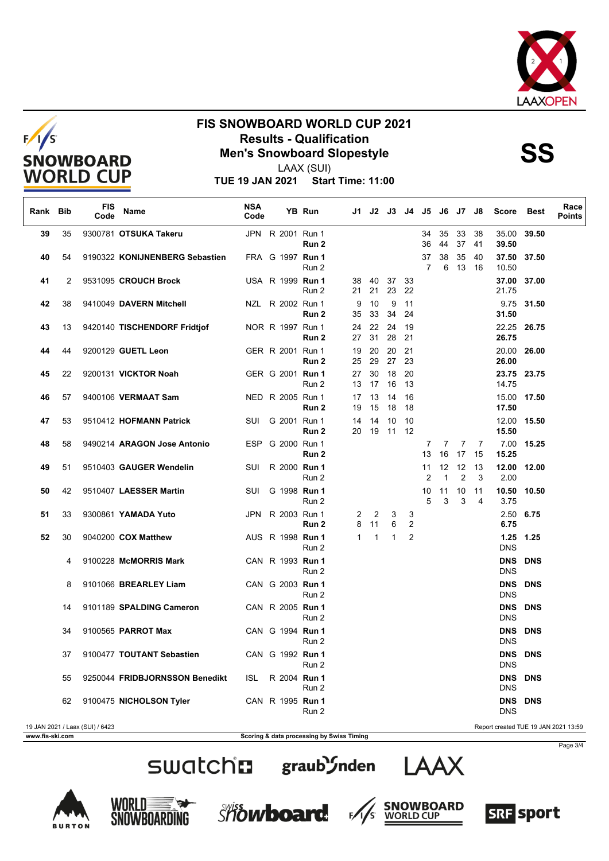





LAAX (SUI)

**TUE 19 JAN 2021 Start Time: 11:00**

| Rank Bib        |    | <b>FIS</b><br>Code              | <b>Name</b>                    | <b>NSA</b><br>Code |  | YB Run                                    |                   |              | J1 J2 J3 J4 J5 J6 J7 J8 |                |                      |                    |          |          | <b>Score</b>                         | Best       | Race<br><b>Points</b> |
|-----------------|----|---------------------------------|--------------------------------|--------------------|--|-------------------------------------------|-------------------|--------------|-------------------------|----------------|----------------------|--------------------|----------|----------|--------------------------------------|------------|-----------------------|
| 39              | 35 |                                 | 9300781 OTSUKA Takeru          |                    |  | JPN R 2001 Run 1<br>Run 2                 |                   |              |                         |                | 34<br>36             | 35<br>44           | 33<br>37 | 38<br>41 | 35.00 39.50<br>39.50                 |            |                       |
| 40              | 54 |                                 | 9190322 KONIJNENBERG Sebastien |                    |  | FRA G 1997 Run 1<br>Run 2                 |                   |              |                         |                | 37<br>$\overline{7}$ | 38<br>6            | 35<br>13 | 40<br>16 | 37.50 37.50<br>10.50                 |            |                       |
| 41              | 2  |                                 | 9531095 CROUCH Brock           |                    |  | USA R 1999 Run 1<br>Run 2                 | 38<br>21          | 40<br>21     | 37<br>23                | 33<br>22       |                      |                    |          |          | 37.00 37.00<br>21.75                 |            |                       |
| 42              | 38 |                                 | 9410049 DAVERN Mitchell        |                    |  | NZL R 2002 Run 1<br>Run 2                 | 9<br>35           | 10<br>33     | 9<br>34                 | 11<br>24       |                      |                    |          |          | 31.50                                | 9.75 31.50 |                       |
| 43              | 13 |                                 | 9420140 TISCHENDORF Fridtjof   |                    |  | NOR R 1997 Run 1<br>Run 2                 | 24<br>27          | 22<br>31     | 24<br>28                | 19<br>21       |                      |                    |          |          | 22.25 26.75<br>26.75                 |            |                       |
| 44              | 44 |                                 | 9200129 GUETL Leon             |                    |  | GER R 2001 Run 1<br>Run 2                 | 19<br>25          | 20           | 20<br>29 27             | 21<br>23       |                      |                    |          |          | 20.00<br>26.00                       | 26.00      |                       |
| 45              | 22 |                                 | 9200131 VICKTOR Noah           |                    |  | GER G 2001 Run 1<br>Run 2                 | 27<br>13          | 30<br>17 16  | 18                      | 20<br>13       |                      |                    |          |          | 23.75 23.75<br>14.75                 |            |                       |
| 46              | 57 |                                 | 9400106 VERMAAT Sam            |                    |  | NED R 2005 Run 1<br>Run 2                 | 17<br>19          | 13<br>15     | 14<br>18                | 16<br>18       |                      |                    |          |          | 15.00 17.50<br>17.50                 |            |                       |
| 47              | 53 |                                 | 9510412 HOFMANN Patrick        | SUI                |  | G 2001 Run 1<br>Run 2                     | 14<br>20          | 14<br>19     | 10<br>11                | 10<br>- 12     |                      |                    |          |          | 12.00 15.50<br>15.50                 |            |                       |
| 48              | 58 |                                 | 9490214 ARAGON Jose Antonio    |                    |  | ESP G 2000 Run 1<br>Run 2                 |                   |              |                         |                | 7<br>13              | 7<br>16            | 7<br>17  | 7<br>15  | 15.25                                | 7.00 15.25 |                       |
| 49              | 51 |                                 | 9510403 GAUGER Wendelin        |                    |  | SUI R 2000 Run 1<br>Run 2                 |                   |              |                         |                | 11<br>$\overline{2}$ | 12<br>$\mathbf{1}$ | 12<br>2  | 13<br>3  | 12.00<br>2.00                        | 12.00      |                       |
| 50              | 42 |                                 | 9510407 LAESSER Martin         | SUI                |  | G 1998 Run 1<br>Run 2                     |                   |              |                         |                | 10<br>5              | 11<br>3            | 10<br>3  | 11<br>4  | 10.50<br>3.75                        | 10.50      |                       |
| 51              | 33 |                                 | 9300861 YAMADA Yuto            |                    |  | JPN R 2003 Run 1<br>Run 2                 | $\mathbf{2}$<br>8 | 2<br>11      | 3<br>6                  | 3<br>2         |                      |                    |          |          | 2.50 6.75<br>6.75                    |            |                       |
| 52              | 30 |                                 | 9040200 COX Matthew            |                    |  | AUS R 1998 <b>Run 1</b><br>Run 2          | 1                 | $\mathbf{1}$ | $\mathbf{1}$            | $\overline{2}$ |                      |                    |          |          | 1.25 1.25<br><b>DNS</b>              |            |                       |
|                 | 4  |                                 | 9100228 McMORRIS Mark          |                    |  | CAN R 1993 Run 1<br>Run 2                 |                   |              |                         |                |                      |                    |          |          | <b>DNS</b><br><b>DNS</b>             | <b>DNS</b> |                       |
|                 | 8  |                                 | 9101066 BREARLEY Liam          |                    |  | CAN G 2003 Run 1<br>Run 2                 |                   |              |                         |                |                      |                    |          |          | <b>DNS</b><br><b>DNS</b>             | <b>DNS</b> |                       |
|                 | 14 |                                 | 9101189 SPALDING Cameron       |                    |  | CAN R 2005 Run 1<br>Run 2                 |                   |              |                         |                |                      |                    |          |          | <b>DNS</b><br><b>DNS</b>             | <b>DNS</b> |                       |
|                 | 34 |                                 | 9100565 PARROT Max             |                    |  | CAN G 1994 Run 1<br>Run 2                 |                   |              |                         |                |                      |                    |          |          | <b>DNS</b><br><b>DNS</b>             | <b>DNS</b> |                       |
|                 | 37 |                                 | 9100477 TOUTANT Sebastien      |                    |  | CAN G 1992 Run 1<br>Run 2                 |                   |              |                         |                |                      |                    |          |          | DNS DNS<br><b>DNS</b>                |            |                       |
|                 | 55 |                                 | 9250044 FRIDBJORNSSON Benedikt | ISL                |  | R 2004 Run 1<br>Run 2                     |                   |              |                         |                |                      |                    |          |          | <b>DNS</b><br><b>DNS</b>             | <b>DNS</b> |                       |
|                 | 62 |                                 | 9100475 NICHOLSON Tyler        |                    |  | CAN R 1995 Run 1<br>Run 2                 |                   |              |                         |                |                      |                    |          |          | DNS DNS<br><b>DNS</b>                |            |                       |
| www.fis-ski.com |    | 19 JAN 2021 / Laax (SUI) / 6423 |                                |                    |  | Scoring & data processing by Swiss Timing |                   |              |                         |                |                      |                    |          |          | Report created TUE 19 JAN 2021 13:59 |            |                       |

Page 3/4







SWatchm graub'Snden LAAX